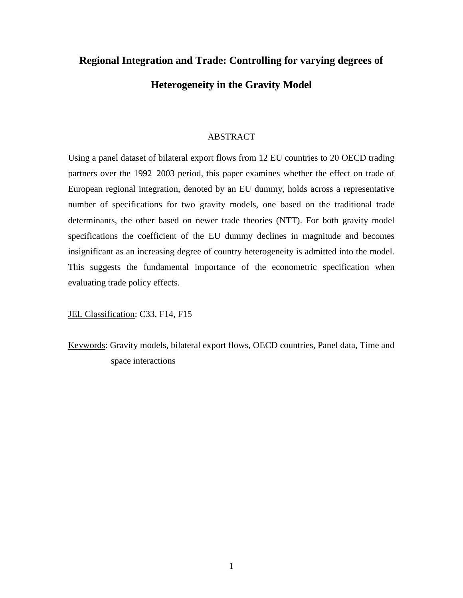# **Regional Integration and Trade: Controlling for varying degrees of Heterogeneity in the Gravity Model**

## ABSTRACT

Using a panel dataset of bilateral export flows from 12 EU countries to 20 OECD trading partners over the 1992–2003 period, this paper examines whether the effect on trade of European regional integration, denoted by an EU dummy, holds across a representative number of specifications for two gravity models, one based on the traditional trade determinants, the other based on newer trade theories (NTT). For both gravity model specifications the coefficient of the EU dummy declines in magnitude and becomes insignificant as an increasing degree of country heterogeneity is admitted into the model. This suggests the fundamental importance of the econometric specification when evaluating trade policy effects.

JEL Classification: C33, F14, F15

Keywords: Gravity models, bilateral export flows, OECD countries, Panel data, Time and space interactions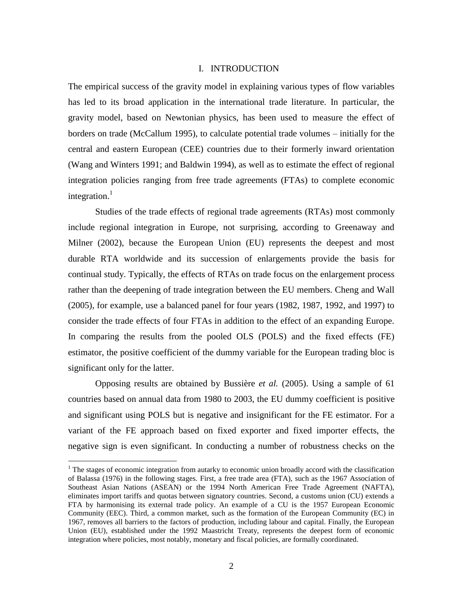## I. INTRODUCTION

The empirical success of the gravity model in explaining various types of flow variables has led to its broad application in the international trade literature. In particular, the gravity model, based on Newtonian physics, has been used to measure the effect of borders on trade (McCallum 1995), to calculate potential trade volumes – initially for the central and eastern European (CEE) countries due to their formerly inward orientation (Wang and Winters 1991; and Baldwin 1994), as well as to estimate the effect of regional integration policies ranging from free trade agreements (FTAs) to complete economic integration. $<sup>1</sup>$ </sup>

Studies of the trade effects of regional trade agreements (RTAs) most commonly include regional integration in Europe, not surprising, according to Greenaway and Milner (2002), because the European Union (EU) represents the deepest and most durable RTA worldwide and its succession of enlargements provide the basis for continual study. Typically, the effects of RTAs on trade focus on the enlargement process rather than the deepening of trade integration between the EU members. Cheng and Wall (2005), for example, use a balanced panel for four years (1982, 1987, 1992, and 1997) to consider the trade effects of four FTAs in addition to the effect of an expanding Europe. In comparing the results from the pooled OLS (POLS) and the fixed effects (FE) estimator, the positive coefficient of the dummy variable for the European trading bloc is significant only for the latter.

Opposing results are obtained by Bussière *et al.* (2005). Using a sample of 61 countries based on annual data from 1980 to 2003, the EU dummy coefficient is positive and significant using POLS but is negative and insignificant for the FE estimator. For a variant of the FE approach based on fixed exporter and fixed importer effects, the negative sign is even significant. In conducting a number of robustness checks on the

 $1$  The stages of economic integration from autarky to economic union broadly accord with the classification of Balassa (1976) in the following stages. First, a free trade area (FTA), such as the 1967 Association of Southeast Asian Nations (ASEAN) or the 1994 North American Free Trade Agreement (NAFTA), eliminates import tariffs and quotas between signatory countries. Second, a customs union (CU) extends a FTA by harmonising its external trade policy. An example of a CU is the 1957 European Economic Community (EEC). Third, a common market, such as the formation of the European Community (EC) in 1967, removes all barriers to the factors of production, including labour and capital. Finally, the European Union (EU), established under the 1992 Maastricht Treaty, represents the deepest form of economic integration where policies, most notably, monetary and fiscal policies, are formally coordinated.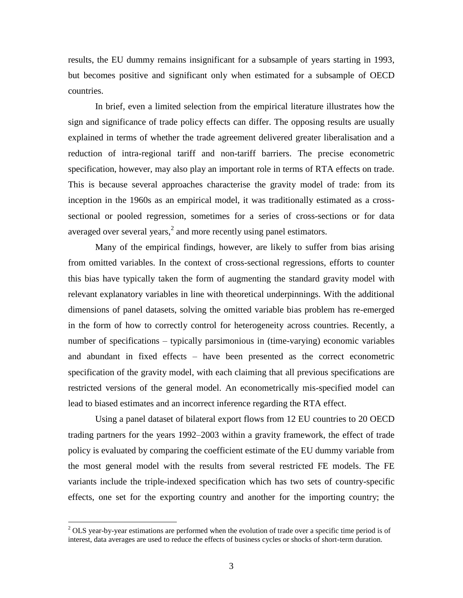results, the EU dummy remains insignificant for a subsample of years starting in 1993, but becomes positive and significant only when estimated for a subsample of OECD countries.

In brief, even a limited selection from the empirical literature illustrates how the sign and significance of trade policy effects can differ. The opposing results are usually explained in terms of whether the trade agreement delivered greater liberalisation and a reduction of intra-regional tariff and non-tariff barriers. The precise econometric specification, however, may also play an important role in terms of RTA effects on trade. This is because several approaches characterise the gravity model of trade: from its inception in the 1960s as an empirical model, it was traditionally estimated as a crosssectional or pooled regression, sometimes for a series of cross-sections or for data averaged over several years, $<sup>2</sup>$  and more recently using panel estimators.</sup>

Many of the empirical findings, however, are likely to suffer from bias arising from omitted variables. In the context of cross-sectional regressions, efforts to counter this bias have typically taken the form of augmenting the standard gravity model with relevant explanatory variables in line with theoretical underpinnings. With the additional dimensions of panel datasets, solving the omitted variable bias problem has re-emerged in the form of how to correctly control for heterogeneity across countries. Recently, a number of specifications – typically parsimonious in (time-varying) economic variables and abundant in fixed effects – have been presented as the correct econometric specification of the gravity model, with each claiming that all previous specifications are restricted versions of the general model. An econometrically mis-specified model can lead to biased estimates and an incorrect inference regarding the RTA effect.

Using a panel dataset of bilateral export flows from 12 EU countries to 20 OECD trading partners for the years 1992–2003 within a gravity framework, the effect of trade policy is evaluated by comparing the coefficient estimate of the EU dummy variable from the most general model with the results from several restricted FE models. The FE variants include the triple-indexed specification which has two sets of country-specific effects, one set for the exporting country and another for the importing country; the

 $2$  OLS vear-by-year estimations are performed when the evolution of trade over a specific time period is of interest, data averages are used to reduce the effects of business cycles or shocks of short-term duration.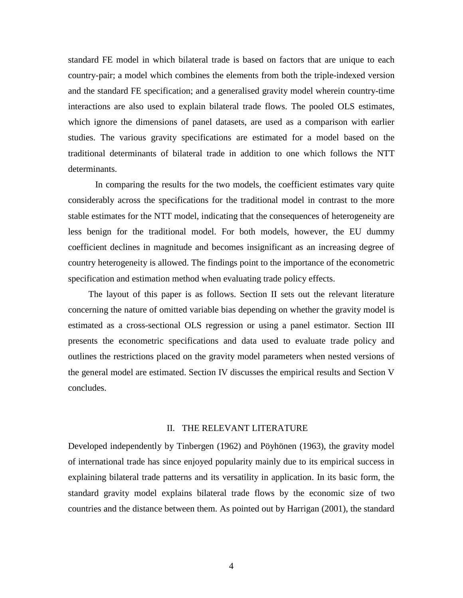standard FE model in which bilateral trade is based on factors that are unique to each country-pair; a model which combines the elements from both the triple-indexed version and the standard FE specification; and a generalised gravity model wherein country-time interactions are also used to explain bilateral trade flows. The pooled OLS estimates, which ignore the dimensions of panel datasets, are used as a comparison with earlier studies. The various gravity specifications are estimated for a model based on the traditional determinants of bilateral trade in addition to one which follows the NTT determinants.

In comparing the results for the two models, the coefficient estimates vary quite considerably across the specifications for the traditional model in contrast to the more stable estimates for the NTT model, indicating that the consequences of heterogeneity are less benign for the traditional model. For both models, however, the EU dummy coefficient declines in magnitude and becomes insignificant as an increasing degree of country heterogeneity is allowed. The findings point to the importance of the econometric specification and estimation method when evaluating trade policy effects.

The layout of this paper is as follows. Section II sets out the relevant literature concerning the nature of omitted variable bias depending on whether the gravity model is estimated as a cross-sectional OLS regression or using a panel estimator. Section III presents the econometric specifications and data used to evaluate trade policy and outlines the restrictions placed on the gravity model parameters when nested versions of the general model are estimated. Section IV discusses the empirical results and Section V concludes.

## II. THE RELEVANT LITERATURE

Developed independently by Tinbergen (1962) and Pöyhönen (1963), the gravity model of international trade has since enjoyed popularity mainly due to its empirical success in explaining bilateral trade patterns and its versatility in application. In its basic form, the standard gravity model explains bilateral trade flows by the economic size of two countries and the distance between them. As pointed out by Harrigan (2001), the standard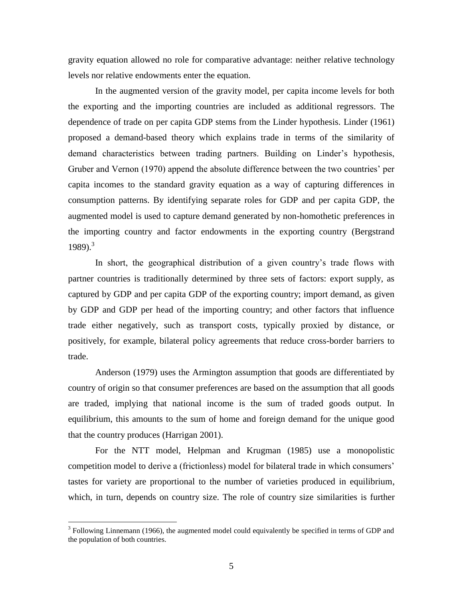gravity equation allowed no role for comparative advantage: neither relative technology levels nor relative endowments enter the equation.

In the augmented version of the gravity model, per capita income levels for both the exporting and the importing countries are included as additional regressors. The dependence of trade on per capita GDP stems from the Linder hypothesis. Linder (1961) proposed a demand-based theory which explains trade in terms of the similarity of demand characteristics between trading partners. Building on Linder's hypothesis, Gruber and Vernon (1970) append the absolute difference between the two countries' per capita incomes to the standard gravity equation as a way of capturing differences in consumption patterns. By identifying separate roles for GDP and per capita GDP, the augmented model is used to capture demand generated by non-homothetic preferences in the importing country and factor endowments in the exporting country (Bergstrand  $1989$ .<sup>3</sup>

In short, the geographical distribution of a given country's trade flows with partner countries is traditionally determined by three sets of factors: export supply, as captured by GDP and per capita GDP of the exporting country; import demand, as given by GDP and GDP per head of the importing country; and other factors that influence trade either negatively, such as transport costs, typically proxied by distance, or positively, for example, bilateral policy agreements that reduce cross-border barriers to trade.

Anderson (1979) uses the Armington assumption that goods are differentiated by country of origin so that consumer preferences are based on the assumption that all goods are traded, implying that national income is the sum of traded goods output. In equilibrium, this amounts to the sum of home and foreign demand for the unique good that the country produces (Harrigan 2001).

For the NTT model, Helpman and Krugman (1985) use a monopolistic competition model to derive a (frictionless) model for bilateral trade in which consumers' tastes for variety are proportional to the number of varieties produced in equilibrium, which, in turn, depends on country size. The role of country size similarities is further

 $3$  Following Linnemann (1966), the augmented model could equivalently be specified in terms of GDP and the population of both countries.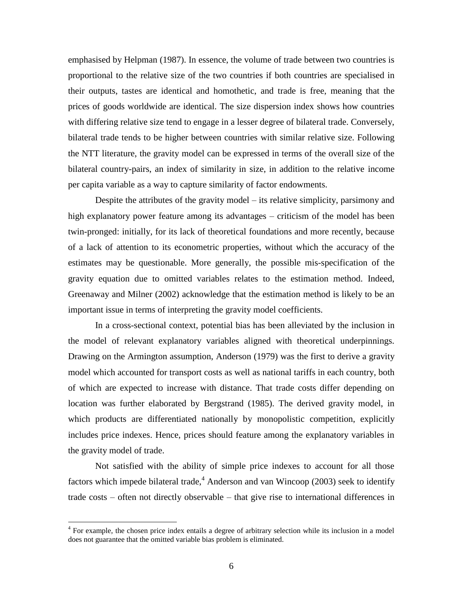emphasised by Helpman (1987). In essence, the volume of trade between two countries is proportional to the relative size of the two countries if both countries are specialised in their outputs, tastes are identical and homothetic, and trade is free, meaning that the prices of goods worldwide are identical. The size dispersion index shows how countries with differing relative size tend to engage in a lesser degree of bilateral trade. Conversely, bilateral trade tends to be higher between countries with similar relative size. Following the NTT literature, the gravity model can be expressed in terms of the overall size of the bilateral country-pairs, an index of similarity in size, in addition to the relative income per capita variable as a way to capture similarity of factor endowments.

Despite the attributes of the gravity model – its relative simplicity, parsimony and high explanatory power feature among its advantages – criticism of the model has been twin-pronged: initially, for its lack of theoretical foundations and more recently, because of a lack of attention to its econometric properties, without which the accuracy of the estimates may be questionable. More generally, the possible mis-specification of the gravity equation due to omitted variables relates to the estimation method. Indeed, Greenaway and Milner (2002) acknowledge that the estimation method is likely to be an important issue in terms of interpreting the gravity model coefficients.

In a cross-sectional context, potential bias has been alleviated by the inclusion in the model of relevant explanatory variables aligned with theoretical underpinnings. Drawing on the Armington assumption, Anderson (1979) was the first to derive a gravity model which accounted for transport costs as well as national tariffs in each country, both of which are expected to increase with distance. That trade costs differ depending on location was further elaborated by Bergstrand (1985). The derived gravity model, in which products are differentiated nationally by monopolistic competition, explicitly includes price indexes. Hence, prices should feature among the explanatory variables in the gravity model of trade.

Not satisfied with the ability of simple price indexes to account for all those factors which impede bilateral trade, $4$  Anderson and van Wincoop (2003) seek to identify trade costs – often not directly observable – that give rise to international differences in

<sup>&</sup>lt;sup>4</sup> For example, the chosen price index entails a degree of arbitrary selection while its inclusion in a model does not guarantee that the omitted variable bias problem is eliminated.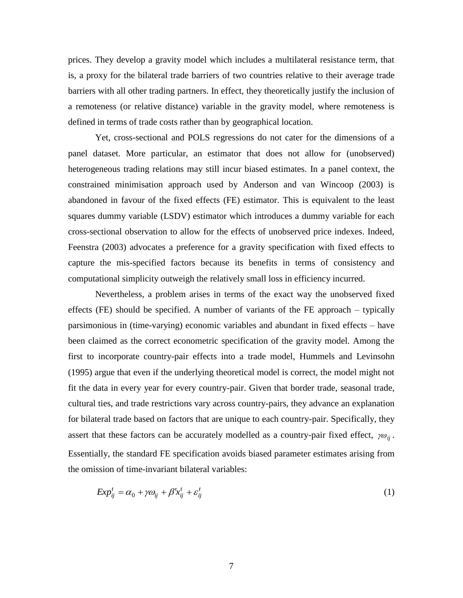prices. They develop a gravity model which includes a multilateral resistance term, that is, a proxy for the bilateral trade barriers of two countries relative to their average trade barriers with all other trading partners. In effect, they theoretically justify the inclusion of a remoteness (or relative distance) variable in the gravity model, where remoteness is defined in terms of trade costs rather than by geographical location.

Yet, cross-sectional and POLS regressions do not cater for the dimensions of a panel dataset. More particular, an estimator that does not allow for (unobserved) heterogeneous trading relations may still incur biased estimates. In a panel context, the constrained minimisation approach used by Anderson and van Wincoop (2003) is abandoned in favour of the fixed effects (FE) estimator. This is equivalent to the least squares dummy variable (LSDV) estimator which introduces a dummy variable for each cross-sectional observation to allow for the effects of unobserved price indexes. Indeed, Feenstra (2003) advocates a preference for a gravity specification with fixed effects to capture the mis-specified factors because its benefits in terms of consistency and computational simplicity outweigh the relatively small loss in efficiency incurred.

Nevertheless, a problem arises in terms of the exact way the unobserved fixed effects (FE) should be specified. A number of variants of the FE approach – typically parsimonious in (time-varying) economic variables and abundant in fixed effects – have been claimed as the correct econometric specification of the gravity model. Among the first to incorporate country-pair effects into a trade model, Hummels and Levinsohn (1995) argue that even if the underlying theoretical model is correct, the model might not fit the data in every year for every country-pair. Given that border trade, seasonal trade, cultural ties, and trade restrictions vary across country-pairs, they advance an explanation for bilateral trade based on factors that are unique to each country-pair. Specifically, they assert that these factors can be accurately modelled as a country-pair fixed effect,  $\gamma \omega_{ij}$ . Essentially, the standard FE specification avoids biased parameter estimates arising from the omission of time-invariant bilateral variables:

$$
Exp_{ij}^t = \alpha_0 + \gamma \omega_{ij} + \beta' x_{ij}^t + \varepsilon_{ij}^t
$$
 (1)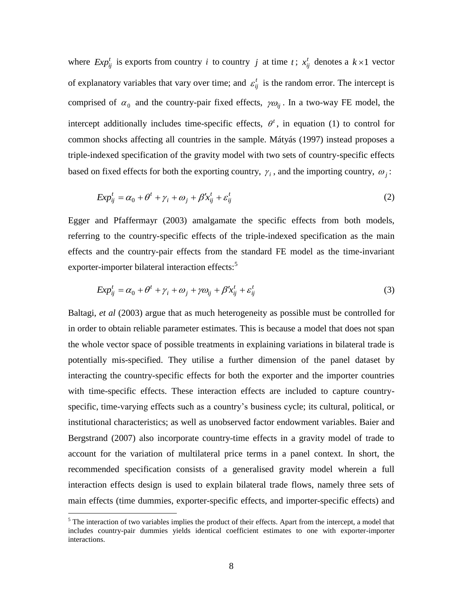where  $Exp_{ij}^t$  is exports from country *i* to country *j* at time *t*;  $x_{ij}^t$  denotes a  $k \times 1$  vector of explanatory variables that vary over time; and  $\varepsilon_{ij}^t$  is the random error. The intercept is comprised of  $\alpha_0$  and the country-pair fixed effects,  $\gamma \omega_{ij}$ . In a two-way FE model, the intercept additionally includes time-specific effects,  $\theta^t$ , in equation (1) to control for common shocks affecting all countries in the sample. Mátyás (1997) instead proposes a triple-indexed specification of the gravity model with two sets of country-specific effects based on fixed effects for both the exporting country,  $\gamma_i$ , and the importing country,  $\omega_j$ :

$$
Exp_{ij}^t = \alpha_0 + \theta^t + \gamma_i + \omega_j + \beta' x_{ij}^t + \varepsilon_{ij}^t
$$
\n<sup>(2)</sup>

Egger and Pfaffermayr (2003) amalgamate the specific effects from both models, referring to the country-specific effects of the triple-indexed specification as the main effects and the country-pair effects from the standard FE model as the time-invariant exporter-importer bilateral interaction effects:<sup>5</sup>

$$
Exp_{ij}^t = \alpha_0 + \theta^t + \gamma_i + \omega_j + \gamma \omega_{ij} + \beta' x_{ij}^t + \varepsilon_{ij}^t
$$
\n<sup>(3)</sup>

Baltagi, *et al* (2003) argue that as much heterogeneity as possible must be controlled for in order to obtain reliable parameter estimates. This is because a model that does not span the whole vector space of possible treatments in explaining variations in bilateral trade is potentially mis-specified. They utilise a further dimension of the panel dataset by interacting the country-specific effects for both the exporter and the importer countries with time-specific effects. These interaction effects are included to capture countryspecific, time-varying effects such as a country's business cycle; its cultural, political, or institutional characteristics; as well as unobserved factor endowment variables. Baier and Bergstrand (2007) also incorporate country-time effects in a gravity model of trade to account for the variation of multilateral price terms in a panel context. In short, the recommended specification consists of a generalised gravity model wherein a full interaction effects design is used to explain bilateral trade flows, namely three sets of main effects (time dummies, exporter-specific effects, and importer-specific effects) and

 $<sup>5</sup>$  The interaction of two variables implies the product of their effects. Apart from the intercept, a model that</sup> includes country-pair dummies yields identical coefficient estimates to one with exporter-importer interactions.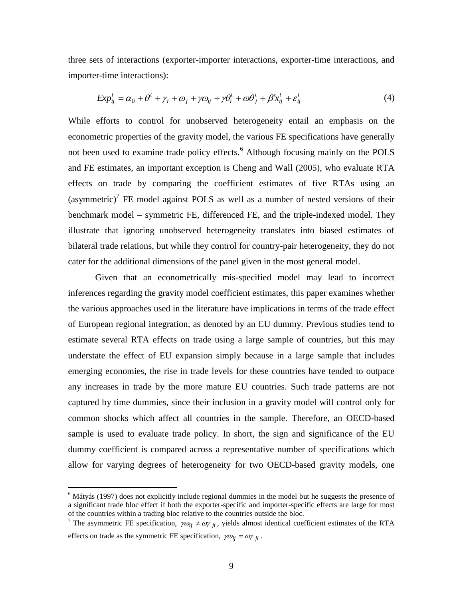three sets of interactions (exporter-importer interactions, exporter-time interactions, and importer-time interactions):

$$
Exp_{ij}^t = \alpha_0 + \theta^t + \gamma_i + \omega_j + \gamma \omega_{ij} + \gamma \theta_i^t + \omega \theta_j^t + \beta' x_{ij}^t + \varepsilon_{ij}^t
$$
\n<sup>(4)</sup>

While efforts to control for unobserved heterogeneity entail an emphasis on the econometric properties of the gravity model, the various FE specifications have generally not been used to examine trade policy effects.<sup>6</sup> Although focusing mainly on the POLS and FE estimates, an important exception is Cheng and Wall (2005), who evaluate RTA effects on trade by comparing the coefficient estimates of five RTAs using an (asymmetric)<sup>7</sup> FE model against POLS as well as a number of nested versions of their benchmark model – symmetric FE, differenced FE, and the triple-indexed model. They illustrate that ignoring unobserved heterogeneity translates into biased estimates of bilateral trade relations, but while they control for country-pair heterogeneity, they do not cater for the additional dimensions of the panel given in the most general model.

Given that an econometrically mis-specified model may lead to incorrect inferences regarding the gravity model coefficient estimates, this paper examines whether the various approaches used in the literature have implications in terms of the trade effect of European regional integration, as denoted by an EU dummy. Previous studies tend to estimate several RTA effects on trade using a large sample of countries, but this may understate the effect of EU expansion simply because in a large sample that includes emerging economies, the rise in trade levels for these countries have tended to outpace any increases in trade by the more mature EU countries. Such trade patterns are not captured by time dummies, since their inclusion in a gravity model will control only for common shocks which affect all countries in the sample. Therefore, an OECD-based sample is used to evaluate trade policy. In short, the sign and significance of the EU dummy coefficient is compared across a representative number of specifications which allow for varying degrees of heterogeneity for two OECD-based gravity models, one

 $6$  Mátyás (1997) does not explicitly include regional dummies in the model but he suggests the presence of a significant trade bloc effect if both the exporter-specific and importer-specific effects are large for most of the countries within a trading bloc relative to the countries outside the bloc.

<sup>&</sup>lt;sup>7</sup> The asymmetric FE specification,  $\gamma \omega_{ij} \neq \omega \gamma_{ji}$ , yields almost identical coefficient estimates of the RTA effects on trade as the symmetric FE specification,  $\gamma \omega_{ij} = \omega \gamma_{ji}$ .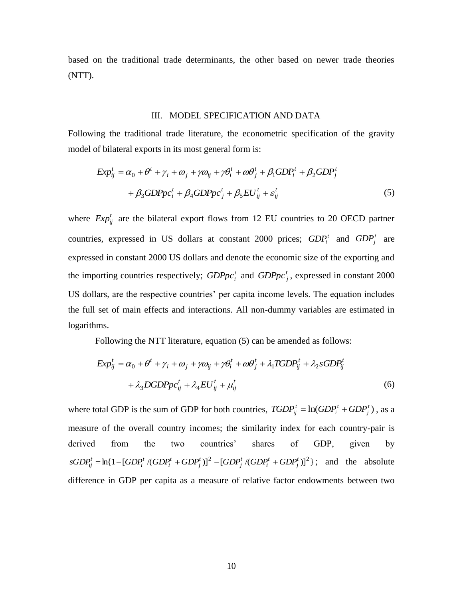based on the traditional trade determinants, the other based on newer trade theories (NTT).

#### III. MODEL SPECIFICATION AND DATA

Following the traditional trade literature, the econometric specification of the gravity model of bilateral exports in its most general form is:

$$
Exp_{ij}^{t} = \alpha_0 + \theta^t + \gamma_i + \omega_j + \gamma \omega_{ij} + \gamma \theta_i^t + \omega \theta_j^t + \beta_1 GDP_i^t + \beta_2 GDP_j^t
$$
  
+  $\beta_3 GDPpc_i^t + \beta_4 GDPpc_j^t + \beta_5 EU_{ij}^t + \varepsilon_{ij}^t$  (5)

where  $Exp_{ij}^t$  are the bilateral export flows from 12 EU countries to 20 OECD partner countries, expressed in US dollars at constant 2000 prices;  $GDP_i^t$  and  $GDP_j^t$  are expressed in constant 2000 US dollars and denote the economic size of the exporting and the importing countries respectively;  $GDPpc_i^t$  and  $GDPpc_j^t$ , expressed in constant 2000 US dollars, are the respective countries' per capita income levels. The equation includes the full set of main effects and interactions. All non-dummy variables are estimated in logarithms.

Following the NTT literature, equation (5) can be amended as follows:

$$
Exp_{ij}^{t} = \alpha_0 + \theta^t + \gamma_i + \omega_j + \gamma \omega_{ij} + \gamma \theta_i^t + \omega \theta_j^t + \lambda_1 T GDP_{ij}^t + \lambda_2 s GDP_{ij}^t
$$
  
+  $\lambda_3 DGDPpc_{ij}^t + \lambda_4 EU_{ij}^t + \mu_{ij}^t$  (6)

where total GDP is the sum of GDP for both countries,  $TGDP_i^t = \ln(GDP_i^t + GDP_i^t)$ *j t i*  $TGDP^t_{ij} = \ln(GDP^t_i + GDP^t_j)$ , as a measure of the overall country incomes; the similarity index for each country-pair is derived from the two countries' shares of GDP, given by  $sGDP_{ij}^t = \ln\{1 - [GDP_i^t/(GDP_i^t + GDP_j^t)]^2 - [GDP_j^t/(GDP_i^t + GDP_j^t)]^2\}$ ; and the absolute difference in GDP per capita as a measure of relative factor endowments between two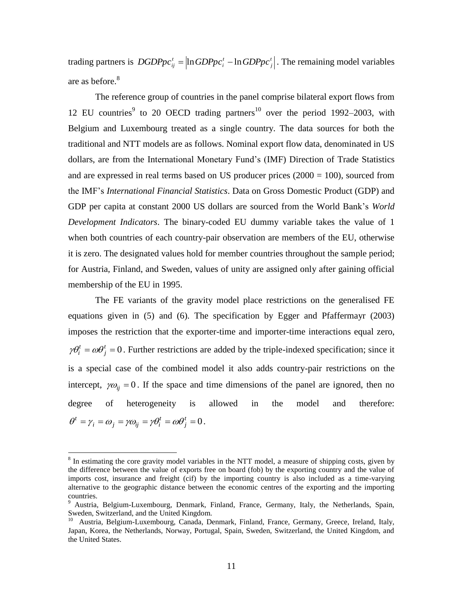trading partners is  $DGDPpc_{ii}^t = \ln GDPpc_i^t - \ln GDPpc_i^t$ *j t*  $DGDPpc_{ij}^t = \left| \ln GDPpc_i^t - \ln GDPpc_j^t \right|$ . The remaining model variables are as before.<sup>8</sup>

The reference group of countries in the panel comprise bilateral export flows from 12 EU countries<sup>9</sup> to 20 OECD trading partners<sup>10</sup> over the period 1992–2003, with Belgium and Luxembourg treated as a single country. The data sources for both the traditional and NTT models are as follows. Nominal export flow data, denominated in US dollars, are from the International Monetary Fund's (IMF) Direction of Trade Statistics and are expressed in real terms based on US producer prices  $(2000 = 100)$ , sourced from the IMF's *International Financial Statistics*. Data on Gross Domestic Product (GDP) and GDP per capita at constant 2000 US dollars are sourced from the World Bank's *World Development Indicators*. The binary-coded EU dummy variable takes the value of 1 when both countries of each country-pair observation are members of the EU, otherwise it is zero. The designated values hold for member countries throughout the sample period; for Austria, Finland, and Sweden, values of unity are assigned only after gaining official membership of the EU in 1995.

The FE variants of the gravity model place restrictions on the generalised FE equations given in (5) and (6). The specification by Egger and Pfaffermayr (2003) imposes the restriction that the exporter-time and importer-time interactions equal zero,  $=\omega \theta_i^t = 0$ *j*  $\gamma \theta_i^t = \omega \theta_j^t = 0$ . Further restrictions are added by the triple-indexed specification; since it is a special case of the combined model it also adds country-pair restrictions on the intercept,  $\gamma \omega_{ij} = 0$ . If the space and time dimensions of the panel are ignored, then no degree of heterogeneity is allowed in the model and therefore:  $=\gamma_i = \omega_i = \gamma \omega_{ii} = \gamma \theta_i^t = \omega \theta_i^t = 0$ *j t*  $\mu_i - \omega_j - \mu v_{ij} - \mu v_i$  $\theta^t = \gamma_i = \omega_i = \gamma \omega_{ii} = \gamma \theta_i^t = \omega \theta_i^t = 0$ .

 $8 \text{ In estimating the core gravity model variables in the NTT model, a measure of shipping costs, given by}$ the difference between the value of exports free on board (fob) by the exporting country and the value of imports cost, insurance and freight (cif) by the importing country is also included as a time-varying alternative to the geographic distance between the economic centres of the exporting and the importing countries.

<sup>&</sup>lt;sup>9</sup> Austria, Belgium-Luxembourg, Denmark, Finland, France, Germany, Italy, the Netherlands, Spain, Sweden, Switzerland, and the United Kingdom.

<sup>&</sup>lt;sup>10</sup> Austria, Belgium-Luxembourg, Canada, Denmark, Finland, France, Germany, Greece, Ireland, Italy, Japan, Korea, the Netherlands, Norway, Portugal, Spain, Sweden, Switzerland, the United Kingdom, and the United States.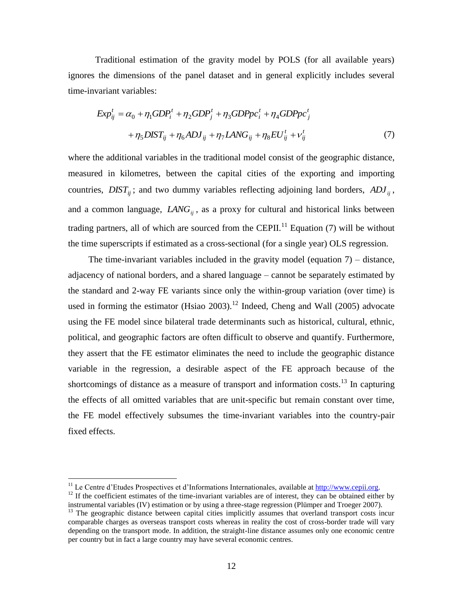Traditional estimation of the gravity model by POLS (for all available years) ignores the dimensions of the panel dataset and in general explicitly includes several time-invariant variables:

$$
Exp_{ij}^{t} = \alpha_0 + \eta_1 GDP_i^{t} + \eta_2 GDP_j^{t} + \eta_3 GDPp c_i^{t} + \eta_4 GDPp c_j^{t}
$$

$$
+ \eta_5 DIST_{ij} + \eta_6 ADJ_{ij} + \eta_7 LANG_{ij} + \eta_8 EU_{ij}^{t} + \nu_{ij}^{t}
$$
(7)

where the additional variables in the traditional model consist of the geographic distance, measured in kilometres, between the capital cities of the exporting and importing countries,  $DIST_{ij}$ ; and two dummy variables reflecting adjoining land borders,  $ADI_{ij}$ , and a common language, *LANGij* , as a proxy for cultural and historical links between trading partners, all of which are sourced from the CEPII.<sup>11</sup> Equation (7) will be without the time superscripts if estimated as a cross-sectional (for a single year) OLS regression.

The time-invariant variables included in the gravity model (equation 7) – distance, adjacency of national borders, and a shared language – cannot be separately estimated by the standard and 2-way FE variants since only the within-group variation (over time) is used in forming the estimator (Hsiao 2003).<sup>12</sup> Indeed, Cheng and Wall (2005) advocate using the FE model since bilateral trade determinants such as historical, cultural, ethnic, political, and geographic factors are often difficult to observe and quantify. Furthermore, they assert that the FE estimator eliminates the need to include the geographic distance variable in the regression, a desirable aspect of the FE approach because of the shortcomings of distance as a measure of transport and information costs.<sup>13</sup> In capturing the effects of all omitted variables that are unit-specific but remain constant over time, the FE model effectively subsumes the time-invariant variables into the country-pair fixed effects.

<sup>&</sup>lt;sup>11</sup> Le Centre d'Etudes Prospectives et d'Informations Internationales, available at **http://www.cepii.org.**  $12$  If the coefficient estimates of the time-invariant variables are of interest, they can be obtained either by

instrumental variables (IV) estimation or by using a three-stage regression (Plümper and Troeger 2007). <sup>13</sup> The geographic distance between capital cities implicitly assumes that overland transport costs incur

comparable charges as overseas transport costs whereas in reality the cost of cross-border trade will vary depending on the transport mode. In addition, the straight-line distance assumes only one economic centre per country but in fact a large country may have several economic centres.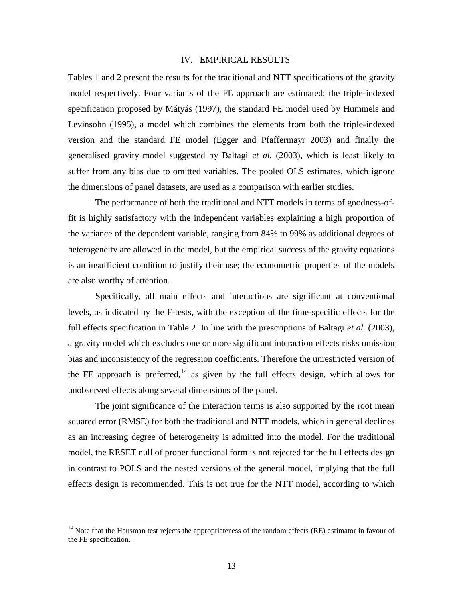## IV. EMPIRICAL RESULTS

Tables 1 and 2 present the results for the traditional and NTT specifications of the gravity model respectively. Four variants of the FE approach are estimated: the triple-indexed specification proposed by Mátyás (1997), the standard FE model used by Hummels and Levinsohn (1995), a model which combines the elements from both the triple-indexed version and the standard FE model (Egger and Pfaffermayr 2003) and finally the generalised gravity model suggested by Baltagi *et al.* (2003), which is least likely to suffer from any bias due to omitted variables. The pooled OLS estimates, which ignore the dimensions of panel datasets, are used as a comparison with earlier studies.

The performance of both the traditional and NTT models in terms of goodness-offit is highly satisfactory with the independent variables explaining a high proportion of the variance of the dependent variable, ranging from 84% to 99% as additional degrees of heterogeneity are allowed in the model, but the empirical success of the gravity equations is an insufficient condition to justify their use; the econometric properties of the models are also worthy of attention.

Specifically, all main effects and interactions are significant at conventional levels, as indicated by the F-tests, with the exception of the time-specific effects for the full effects specification in Table 2. In line with the prescriptions of Baltagi *et al.* (2003), a gravity model which excludes one or more significant interaction effects risks omission bias and inconsistency of the regression coefficients. Therefore the unrestricted version of the FE approach is preferred,<sup>14</sup> as given by the full effects design, which allows for unobserved effects along several dimensions of the panel.

The joint significance of the interaction terms is also supported by the root mean squared error (RMSE) for both the traditional and NTT models, which in general declines as an increasing degree of heterogeneity is admitted into the model. For the traditional model, the RESET null of proper functional form is not rejected for the full effects design in contrast to POLS and the nested versions of the general model, implying that the full effects design is recommended. This is not true for the NTT model, according to which

<sup>&</sup>lt;sup>14</sup> Note that the Hausman test rejects the appropriateness of the random effects (RE) estimator in favour of the FE specification.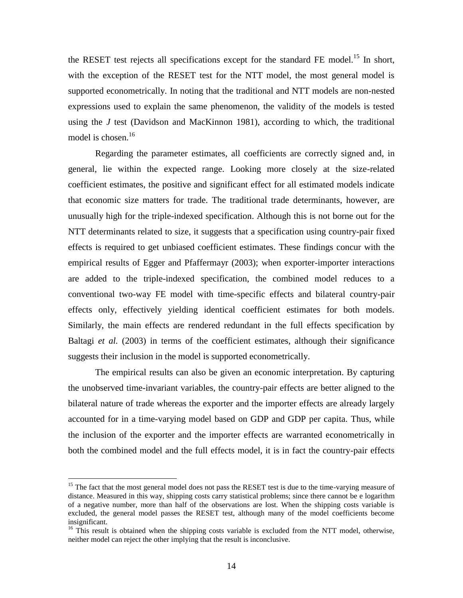the RESET test rejects all specifications except for the standard FE model.<sup>15</sup> In short, with the exception of the RESET test for the NTT model, the most general model is supported econometrically. In noting that the traditional and NTT models are non-nested expressions used to explain the same phenomenon, the validity of the models is tested using the *J* test (Davidson and MacKinnon 1981), according to which, the traditional model is chosen.<sup>16</sup>

Regarding the parameter estimates, all coefficients are correctly signed and, in general, lie within the expected range. Looking more closely at the size-related coefficient estimates, the positive and significant effect for all estimated models indicate that economic size matters for trade. The traditional trade determinants, however, are unusually high for the triple-indexed specification. Although this is not borne out for the NTT determinants related to size, it suggests that a specification using country-pair fixed effects is required to get unbiased coefficient estimates. These findings concur with the empirical results of Egger and Pfaffermayr (2003); when exporter-importer interactions are added to the triple-indexed specification, the combined model reduces to a conventional two-way FE model with time-specific effects and bilateral country-pair effects only, effectively yielding identical coefficient estimates for both models. Similarly, the main effects are rendered redundant in the full effects specification by Baltagi *et al.* (2003) in terms of the coefficient estimates, although their significance suggests their inclusion in the model is supported econometrically.

The empirical results can also be given an economic interpretation. By capturing the unobserved time-invariant variables, the country-pair effects are better aligned to the bilateral nature of trade whereas the exporter and the importer effects are already largely accounted for in a time-varying model based on GDP and GDP per capita. Thus, while the inclusion of the exporter and the importer effects are warranted econometrically in both the combined model and the full effects model, it is in fact the country-pair effects

<sup>&</sup>lt;sup>15</sup> The fact that the most general model does not pass the RESET test is due to the time-varying measure of distance. Measured in this way, shipping costs carry statistical problems; since there cannot be e logarithm of a negative number, more than half of the observations are lost. When the shipping costs variable is excluded, the general model passes the RESET test, although many of the model coefficients become insignificant.

<sup>&</sup>lt;sup>16</sup> This result is obtained when the shipping costs variable is excluded from the NTT model, otherwise, neither model can reject the other implying that the result is inconclusive.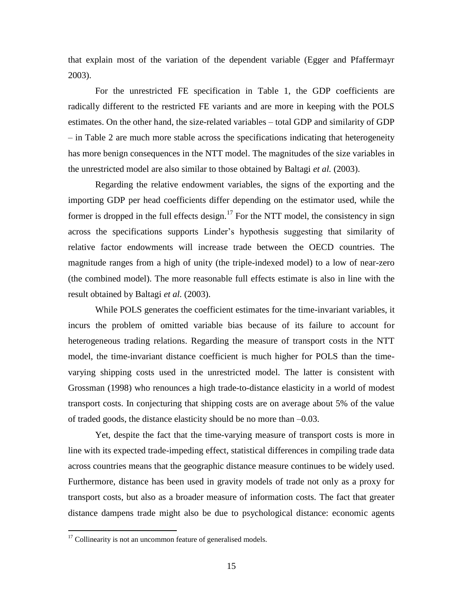that explain most of the variation of the dependent variable (Egger and Pfaffermayr 2003).

For the unrestricted FE specification in Table 1, the GDP coefficients are radically different to the restricted FE variants and are more in keeping with the POLS estimates. On the other hand, the size-related variables – total GDP and similarity of GDP – in Table 2 are much more stable across the specifications indicating that heterogeneity has more benign consequences in the NTT model. The magnitudes of the size variables in the unrestricted model are also similar to those obtained by Baltagi *et al.* (2003).

Regarding the relative endowment variables, the signs of the exporting and the importing GDP per head coefficients differ depending on the estimator used, while the former is dropped in the full effects design.<sup>17</sup> For the NTT model, the consistency in sign across the specifications supports Linder's hypothesis suggesting that similarity of relative factor endowments will increase trade between the OECD countries. The magnitude ranges from a high of unity (the triple-indexed model) to a low of near-zero (the combined model). The more reasonable full effects estimate is also in line with the result obtained by Baltagi *et al.* (2003).

While POLS generates the coefficient estimates for the time-invariant variables, it incurs the problem of omitted variable bias because of its failure to account for heterogeneous trading relations. Regarding the measure of transport costs in the NTT model, the time-invariant distance coefficient is much higher for POLS than the timevarying shipping costs used in the unrestricted model. The latter is consistent with Grossman (1998) who renounces a high trade-to-distance elasticity in a world of modest transport costs. In conjecturing that shipping costs are on average about 5% of the value of traded goods, the distance elasticity should be no more than –0.03.

Yet, despite the fact that the time-varying measure of transport costs is more in line with its expected trade-impeding effect, statistical differences in compiling trade data across countries means that the geographic distance measure continues to be widely used. Furthermore, distance has been used in gravity models of trade not only as a proxy for transport costs, but also as a broader measure of information costs. The fact that greater distance dampens trade might also be due to psychological distance: economic agents

 $17$  Collinearity is not an uncommon feature of generalised models.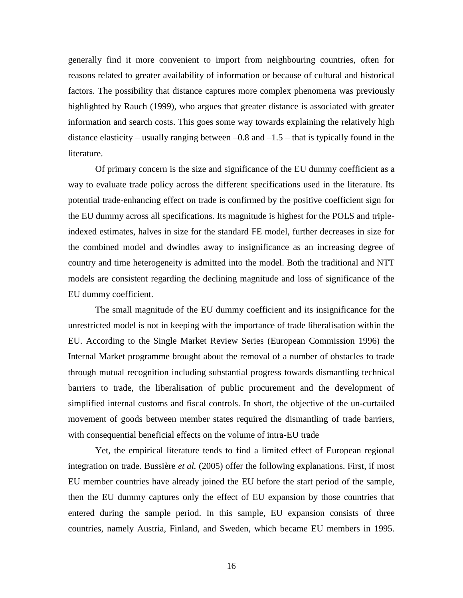generally find it more convenient to import from neighbouring countries, often for reasons related to greater availability of information or because of cultural and historical factors. The possibility that distance captures more complex phenomena was previously highlighted by Rauch (1999), who argues that greater distance is associated with greater information and search costs. This goes some way towards explaining the relatively high distance elasticity – usually ranging between  $-0.8$  and  $-1.5$  – that is typically found in the literature.

Of primary concern is the size and significance of the EU dummy coefficient as a way to evaluate trade policy across the different specifications used in the literature. Its potential trade-enhancing effect on trade is confirmed by the positive coefficient sign for the EU dummy across all specifications. Its magnitude is highest for the POLS and tripleindexed estimates, halves in size for the standard FE model, further decreases in size for the combined model and dwindles away to insignificance as an increasing degree of country and time heterogeneity is admitted into the model. Both the traditional and NTT models are consistent regarding the declining magnitude and loss of significance of the EU dummy coefficient.

The small magnitude of the EU dummy coefficient and its insignificance for the unrestricted model is not in keeping with the importance of trade liberalisation within the EU. According to the Single Market Review Series (European Commission 1996) the Internal Market programme brought about the removal of a number of obstacles to trade through mutual recognition including substantial progress towards dismantling technical barriers to trade, the liberalisation of public procurement and the development of simplified internal customs and fiscal controls. In short, the objective of the un-curtailed movement of goods between member states required the dismantling of trade barriers, with consequential beneficial effects on the volume of intra-EU trade

Yet, the empirical literature tends to find a limited effect of European regional integration on trade. Bussière *et al.* (2005) offer the following explanations. First, if most EU member countries have already joined the EU before the start period of the sample, then the EU dummy captures only the effect of EU expansion by those countries that entered during the sample period. In this sample, EU expansion consists of three countries, namely Austria, Finland, and Sweden, which became EU members in 1995.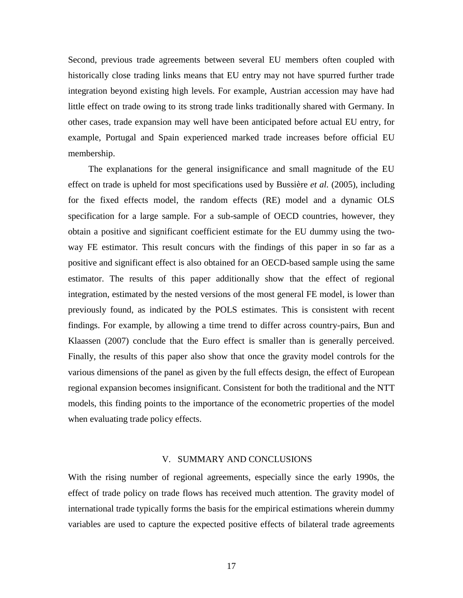Second, previous trade agreements between several EU members often coupled with historically close trading links means that EU entry may not have spurred further trade integration beyond existing high levels. For example, Austrian accession may have had little effect on trade owing to its strong trade links traditionally shared with Germany. In other cases, trade expansion may well have been anticipated before actual EU entry, for example, Portugal and Spain experienced marked trade increases before official EU membership.

The explanations for the general insignificance and small magnitude of the EU effect on trade is upheld for most specifications used by Bussière *et al.* (2005), including for the fixed effects model, the random effects (RE) model and a dynamic OLS specification for a large sample. For a sub-sample of OECD countries, however, they obtain a positive and significant coefficient estimate for the EU dummy using the twoway FE estimator. This result concurs with the findings of this paper in so far as a positive and significant effect is also obtained for an OECD-based sample using the same estimator. The results of this paper additionally show that the effect of regional integration, estimated by the nested versions of the most general FE model, is lower than previously found, as indicated by the POLS estimates. This is consistent with recent findings. For example, by allowing a time trend to differ across country-pairs, Bun and Klaassen (2007) conclude that the Euro effect is smaller than is generally perceived. Finally, the results of this paper also show that once the gravity model controls for the various dimensions of the panel as given by the full effects design, the effect of European regional expansion becomes insignificant. Consistent for both the traditional and the NTT models, this finding points to the importance of the econometric properties of the model when evaluating trade policy effects.

## V. SUMMARY AND CONCLUSIONS

With the rising number of regional agreements, especially since the early 1990s, the effect of trade policy on trade flows has received much attention. The gravity model of international trade typically forms the basis for the empirical estimations wherein dummy variables are used to capture the expected positive effects of bilateral trade agreements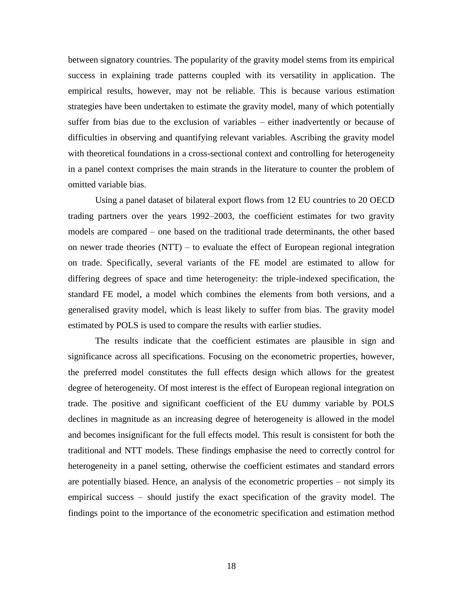between signatory countries. The popularity of the gravity model stems from its empirical success in explaining trade patterns coupled with its versatility in application. The empirical results, however, may not be reliable. This is because various estimation strategies have been undertaken to estimate the gravity model, many of which potentially suffer from bias due to the exclusion of variables – either inadvertently or because of difficulties in observing and quantifying relevant variables. Ascribing the gravity model with theoretical foundations in a cross-sectional context and controlling for heterogeneity in a panel context comprises the main strands in the literature to counter the problem of omitted variable bias.

Using a panel dataset of bilateral export flows from 12 EU countries to 20 OECD trading partners over the years 1992–2003, the coefficient estimates for two gravity models are compared – one based on the traditional trade determinants, the other based on newer trade theories (NTT) – to evaluate the effect of European regional integration on trade. Specifically, several variants of the FE model are estimated to allow for differing degrees of space and time heterogeneity: the triple-indexed specification, the standard FE model, a model which combines the elements from both versions, and a generalised gravity model, which is least likely to suffer from bias. The gravity model estimated by POLS is used to compare the results with earlier studies.

The results indicate that the coefficient estimates are plausible in sign and significance across all specifications. Focusing on the econometric properties, however, the preferred model constitutes the full effects design which allows for the greatest degree of heterogeneity. Of most interest is the effect of European regional integration on trade. The positive and significant coefficient of the EU dummy variable by POLS declines in magnitude as an increasing degree of heterogeneity is allowed in the model and becomes insignificant for the full effects model. This result is consistent for both the traditional and NTT models. These findings emphasise the need to correctly control for heterogeneity in a panel setting, otherwise the coefficient estimates and standard errors are potentially biased. Hence, an analysis of the econometric properties – not simply its empirical success – should justify the exact specification of the gravity model. The findings point to the importance of the econometric specification and estimation method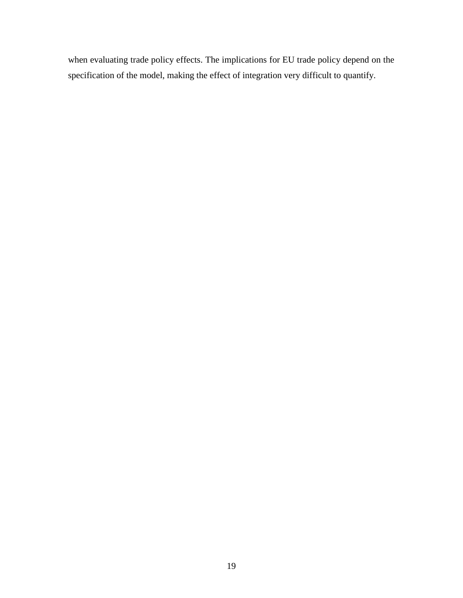when evaluating trade policy effects. The implications for EU trade policy depend on the specification of the model, making the effect of integration very difficult to quantify.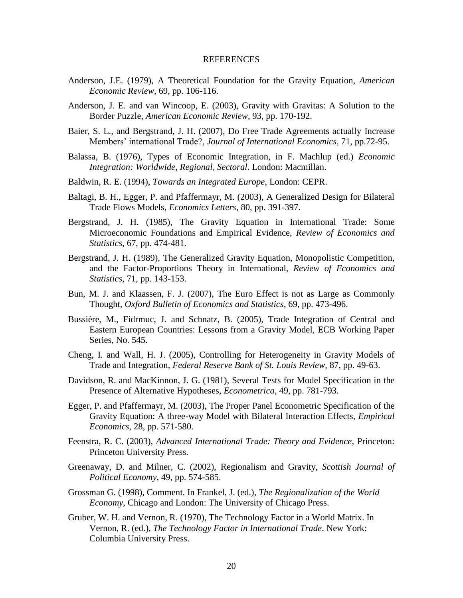### **REFERENCES**

- Anderson, J.E. (1979), A Theoretical Foundation for the Gravity Equation, *American Economic Review*, 69, pp. 106-116.
- Anderson, J. E. and van Wincoop, E. (2003), Gravity with Gravitas: A Solution to the Border Puzzle, *American Economic Review*, 93, pp. 170-192.
- Baier, S. L., and Bergstrand, J. H. (2007), Do Free Trade Agreements actually Increase Members' international Trade?, *Journal of International Economics*, 71, pp.72-95.
- Balassa, B. (1976), Types of Economic Integration, in F. Machlup (ed.) *Economic Integration: Worldwide, Regional, Sectoral*. London: Macmillan.
- Baldwin, R. E. (1994), *Towards an Integrated Europe*, London: CEPR.
- Baltagi, B. H., Egger, P. and Pfaffermayr, M. (2003), A Generalized Design for Bilateral Trade Flows Models, *Economics Letters*, 80, pp. 391-397.
- Bergstrand, J. H. (1985), The Gravity Equation in International Trade: Some Microeconomic Foundations and Empirical Evidence, *Review of Economics and Statistics*, 67, pp. 474-481.
- Bergstrand, J. H. (1989), The Generalized Gravity Equation, Monopolistic Competition, and the Factor-Proportions Theory in International, *Review of Economics and Statistics*, 71, pp. 143-153.
- Bun, M. J. and Klaassen, F. J. (2007), The Euro Effect is not as Large as Commonly Thought, *Oxford Bulletin of Economics and Statistics*, 69, pp. 473-496.
- Bussière, M., Fidrmuc, J. and Schnatz, B. (2005), Trade Integration of Central and Eastern European Countries: Lessons from a Gravity Model, ECB Working Paper Series, No. 545.
- Cheng, I. and Wall, H. J. (2005), Controlling for Heterogeneity in Gravity Models of Trade and Integration, *Federal Reserve Bank of St. Louis Review*, 87, pp. 49-63.
- Davidson, R. and MacKinnon, J. G. (1981), Several Tests for Model Specification in the Presence of Alternative Hypotheses, *Econometrica*, 49, pp. 781-793.
- Egger, P. and Pfaffermayr, M. (2003), The Proper Panel Econometric Specification of the Gravity Equation: A three-way Model with Bilateral Interaction Effects, *Empirical Economics*, 28, pp. 571-580.
- Feenstra, R. C. (2003), *Advanced International Trade: Theory and Evidence*, Princeton: Princeton University Press.
- Greenaway, D. and Milner, C. (2002), Regionalism and Gravity, *Scottish Journal of Political Economy*, 49, pp. 574-585.
- Grossman G. (1998), Comment. In Frankel, J. (ed.), *The Regionalization of the World Economy*, Chicago and London: The University of Chicago Press.
- Gruber, W. H. and Vernon, R. (1970), The Technology Factor in a World Matrix. In Vernon, R. (ed.), *The Technology Factor in International Trade*. New York: Columbia University Press.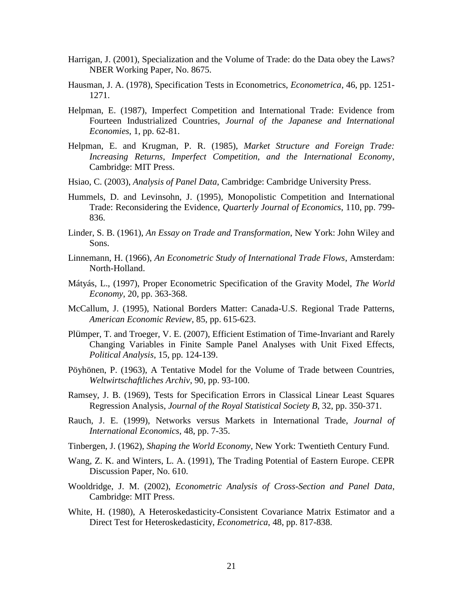- Harrigan, J. (2001), Specialization and the Volume of Trade: do the Data obey the Laws? NBER Working Paper, No. 8675.
- Hausman, J. A. (1978), Specification Tests in Econometrics, *Econometrica*, 46, pp. 1251- 1271.
- Helpman, E. (1987), Imperfect Competition and International Trade: Evidence from Fourteen Industrialized Countries, *Journal of the Japanese and International Economies*, 1, pp. 62-81.
- Helpman, E. and Krugman, P. R. (1985), *Market Structure and Foreign Trade: Increasing Returns, Imperfect Competition, and the International Economy*, Cambridge: MIT Press.
- Hsiao, C. (2003), *Analysis of Panel Data*, Cambridge: Cambridge University Press.
- Hummels, D. and Levinsohn, J. (1995), Monopolistic Competition and International Trade: Reconsidering the Evidence, *Quarterly Journal of Economics*, 110, pp. 799- 836.
- Linder, S. B. (1961), *An Essay on Trade and Transformation*, New York: John Wiley and Sons.
- Linnemann, H. (1966), *An Econometric Study of International Trade Flows*, Amsterdam: North-Holland.
- Mátyás, L., (1997), Proper Econometric Specification of the Gravity Model, *The World Economy*, 20, pp. 363-368.
- McCallum, J. (1995), National Borders Matter: Canada-U.S. Regional Trade Patterns, *American Economic Review*, 85, pp. 615-623.
- Plümper, T. and Troeger, V. E. (2007), Efficient Estimation of Time-Invariant and Rarely Changing Variables in Finite Sample Panel Analyses with Unit Fixed Effects, *Political Analysis*, 15, pp. 124-139.
- Pöyhönen, P. (1963), A Tentative Model for the Volume of Trade between Countries, *Weltwirtschaftliches Archiv*, 90, pp. 93-100.
- Ramsey, J. B. (1969), Tests for Specification Errors in Classical Linear Least Squares Regression Analysis, *Journal of the Royal Statistical Society B*, 32, pp. 350-371.
- Rauch, J. E. (1999), Networks versus Markets in International Trade, *Journal of International Economics*, 48, pp. 7-35.
- Tinbergen, J. (1962), *Shaping the World Economy*, New York: Twentieth Century Fund.
- Wang, Z. K. and Winters, L. A. (1991), The Trading Potential of Eastern Europe. CEPR Discussion Paper, No. 610.
- Wooldridge, J. M. (2002), *Econometric Analysis of Cross-Section and Panel Data*, Cambridge: MIT Press.
- White, H. (1980), A Heteroskedasticity-Consistent Covariance Matrix Estimator and a Direct Test for Heteroskedasticity, *Econometrica*, 48, pp. 817-838.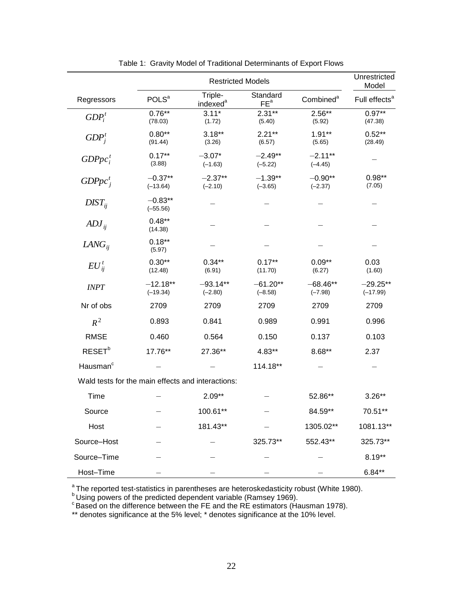|                                                   | <b>Restricted Models</b> |                                 |                             |                         |                                    |
|---------------------------------------------------|--------------------------|---------------------------------|-----------------------------|-------------------------|------------------------------------|
| Regressors                                        | <b>POLS</b> <sup>a</sup> | Triple-<br>indexed <sup>a</sup> | Standard<br>FE <sup>a</sup> | Combined <sup>a</sup>   | Model<br>Full effects <sup>a</sup> |
| $GDP_i^t$                                         | $0.76***$<br>(78.03)     | $3.11*$<br>(1.72)               | $2.31**$<br>(5.40)          | $2.56**$<br>(5.92)      | $0.97**$<br>(47.38)                |
| $GDP_i^t$                                         | $0.80**$<br>(91.44)      | $3.18***$<br>(3.26)             | $2.21**$<br>(6.57)          | $1.91**$<br>(5.65)      | $0.52**$<br>(28.49)                |
| $GDPpc_i^t$                                       | $0.17***$<br>(3.88)      | $-3.07*$<br>$(-1.63)$           | $-2.49**$<br>$(-5.22)$      | $-2.11**$<br>$(-4.45)$  |                                    |
| $GDPpc^{\tau}_{i}$                                | $-0.37**$<br>$(-13.64)$  | $-2.37**$<br>$(-2.10)$          | $-1.39**$<br>$(-3.65)$      | $-0.90**$<br>$(-2.37)$  | $0.98**$<br>(7.05)                 |
| $DIST_{ii}$                                       | $-0.83**$<br>$(-55.56)$  |                                 |                             |                         |                                    |
| $\overline{ADJ}_{ij}$                             | $0.48**$<br>(14.38)      |                                 |                             |                         |                                    |
| $LANG_{ii}$                                       | $0.18***$<br>(5.97)      |                                 |                             |                         |                                    |
| $EU_{ii}^t$                                       | $0.30**$<br>(12.48)      | $0.34**$<br>(6.91)              | $0.17**$<br>(11.70)         | $0.09**$<br>(6.27)      | 0.03<br>(1.60)                     |
| <b>INPT</b>                                       | $-12.18**$<br>$(-19.34)$ | $-93.14**$<br>$(-2.80)$         | $-61.20**$<br>$(-8.58)$     | $-68.46**$<br>$(-7.98)$ | $-29.25**$<br>$(-17.99)$           |
| Nr of obs                                         | 2709                     | 2709                            | 2709                        | 2709                    | 2709                               |
| $R^2$                                             | 0.893                    | 0.841                           | 0.989                       | 0.991                   | 0.996                              |
| <b>RMSE</b>                                       | 0.460                    | 0.564                           | 0.150                       | 0.137                   | 0.103                              |
| RESET <sup>b</sup>                                | 17.76**                  | 27.36**                         | 4.83**                      | 8.68**                  | 2.37                               |
| Hausman <sup>c</sup>                              |                          |                                 | 114.18**                    |                         |                                    |
| Wald tests for the main effects and interactions: |                          |                                 |                             |                         |                                    |
| Time                                              |                          | $2.09**$                        |                             | 52.86**                 | $3.26**$                           |
| Source                                            |                          | 100.61**                        |                             | 84.59**                 | $70.51**$                          |
| Host                                              |                          | 181.43**                        |                             | 1305.02**               | 1081.13**                          |
| Source-Host                                       |                          |                                 | 325.73**                    | 552.43**                | 325.73**                           |
| Source-Time                                       |                          |                                 |                             |                         | $8.19**$                           |
| Host-Time                                         |                          |                                 |                             |                         | $6.84**$                           |

Table 1: Gravity Model of Traditional Determinants of Export Flows

<sup>a</sup>The reported test-statistics in parentheses are heteroskedasticity robust (White 1980).

 $<sup>b</sup>$  Using powers of the predicted dependent variable (Ramsey 1969).</sup>

 $\degree$ Based on the difference between the FE and the RE estimators (Hausman 1978).

\*\* denotes significance at the 5% level; \* denotes significance at the 10% level.